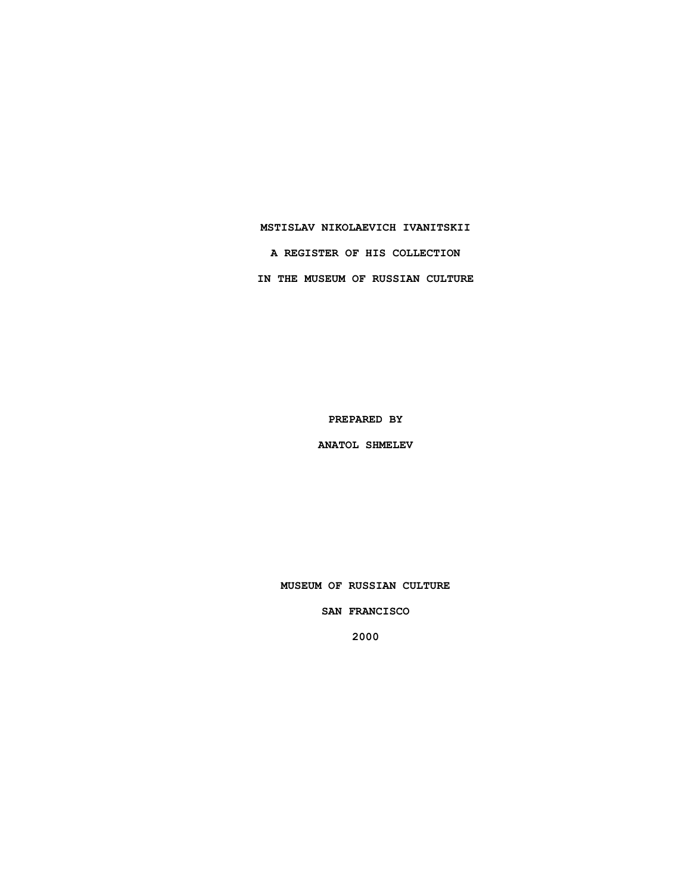### **MSTISLAV NIKOLAEVICH IVANITSKII**

**A REGISTER OF HIS COLLECTION IN THE MUSEUM OF RUSSIAN CULTURE**

**PREPARED BY**

**ANATOL SHMELEV**

**MUSEUM OF RUSSIAN CULTURE**

**SAN FRANCISCO**

**2000**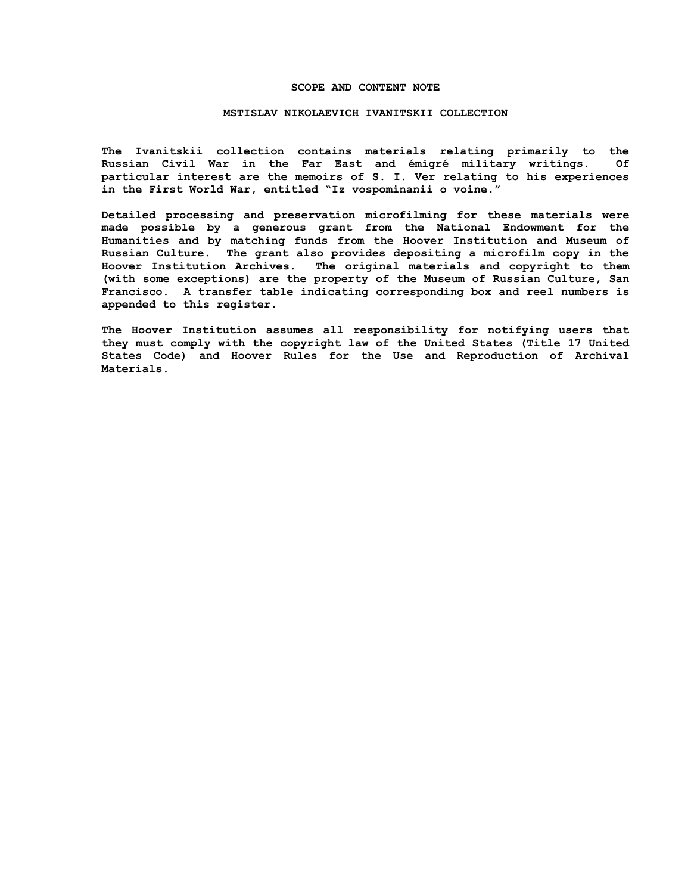#### **SCOPE AND CONTENT NOTE**

#### **MSTISLAV NIKOLAEVICH IVANITSKII COLLECTION**

**The Ivanitskii collection contains materials relating primarily to the Russian Civil War in the Far East and émigré military writings. Of particular interest are the memoirs of S. I. Ver relating to his experiences in the First World War, entitled "Iz vospominanii o voine."**

**Detailed processing and preservation microfilming for these materials were made possible by a generous grant from the National Endowment for the Humanities and by matching funds from the Hoover Institution and Museum of Russian Culture. The grant also provides depositing a microfilm copy in the Hoover Institution Archives. The original materials and copyright to them (with some exceptions) are the property of the Museum of Russian Culture, San Francisco. A transfer table indicating corresponding box and reel numbers is appended to this register.**

**The Hoover Institution assumes all responsibility for notifying users that they must comply with the copyright law of the United States (Title 17 United States Code) and Hoover Rules for the Use and Reproduction of Archival Materials.**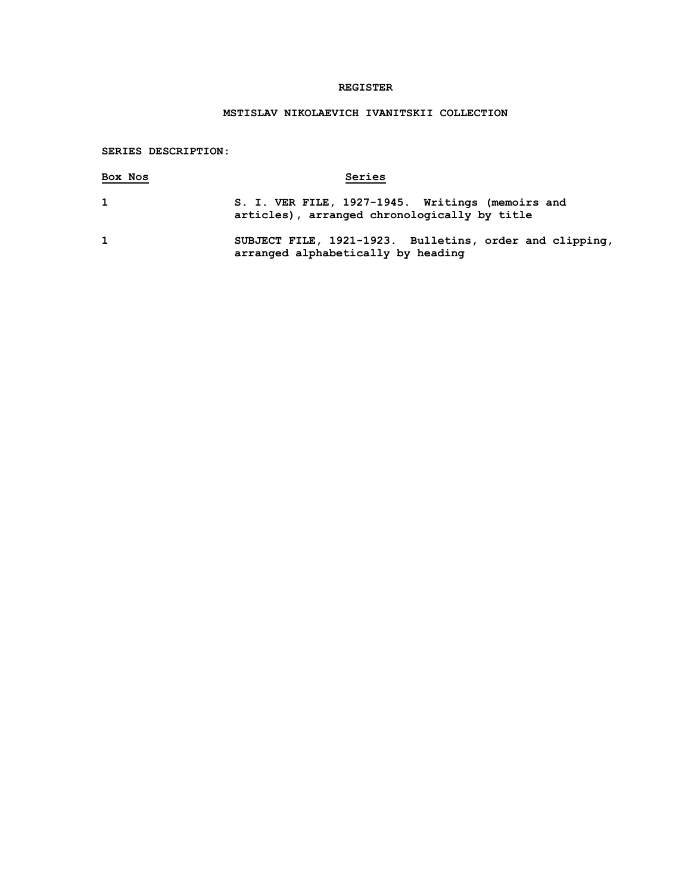## **REGISTER**

# **MSTISLAV NIKOLAEVICH IVANITSKII COLLECTION**

## **SERIES DESCRIPTION:**

| Box Nos      | Series                                                                                           |
|--------------|--------------------------------------------------------------------------------------------------|
| $\mathbf{1}$ | S. I. VER FILE, 1927-1945. Writings (memoirs and<br>articles), arranged chronologically by title |
| $\mathbf{1}$ | SUBJECT FILE, 1921-1923. Bulletins, order and clipping,<br>arranged alphabetically by heading    |